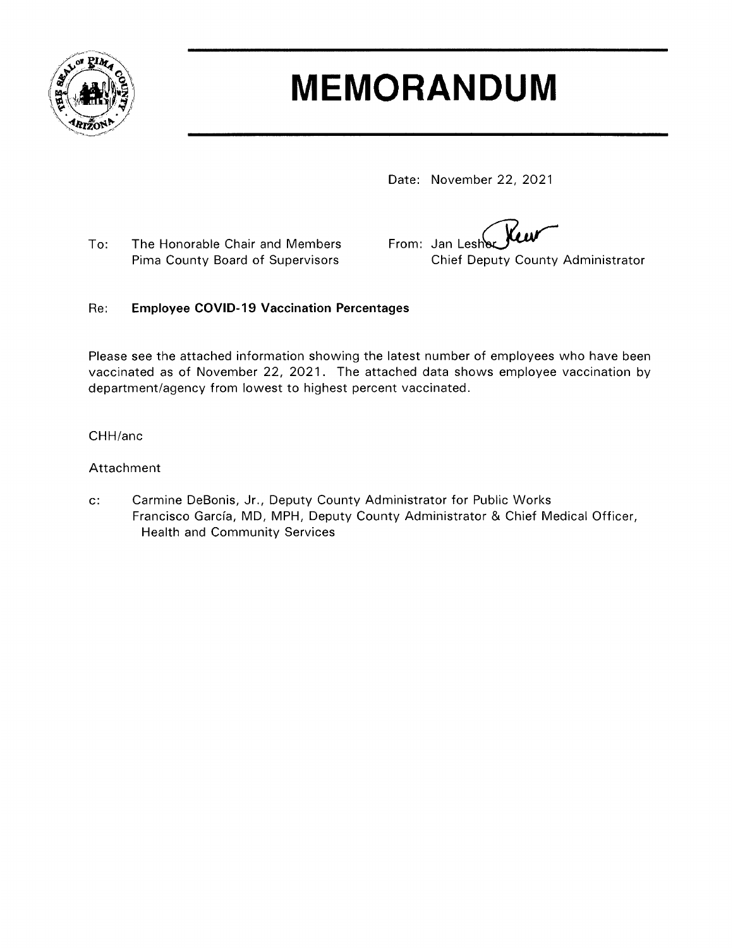

# **MEMORANDUM**

Date: November 22, 2021

To: The Honorable Chair and Members Pima County Board of Supervisors

From: Jan Lesh Chief Deputy County Administrator

#### **Employee COVID-19 Vaccination Percentages** Re:

Please see the attached information showing the latest number of employees who have been vaccinated as of November 22, 2021. The attached data shows employee vaccination by department/agency from lowest to highest percent vaccinated.

#### CHH/anc

### Attachment

 $\mathbf{c}$ : Carmine DeBonis, Jr., Deputy County Administrator for Public Works Francisco García, MD, MPH, Deputy County Administrator & Chief Medical Officer, Health and Community Services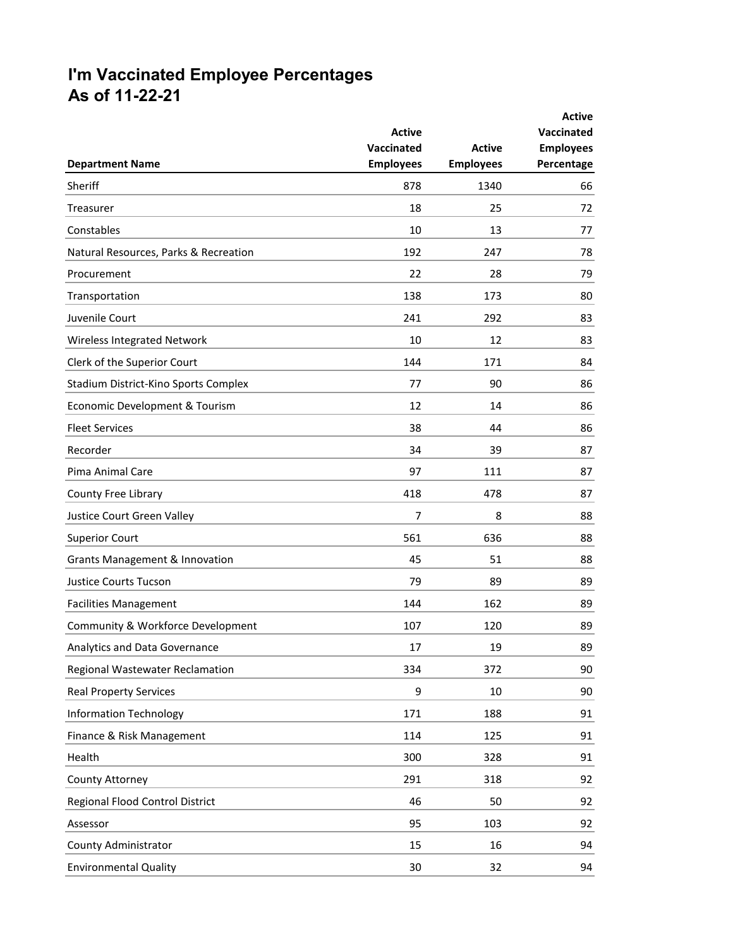# **I'm Vaccinated Employee Percentages As of 11-22-21**

| <b>Department Name</b>                    | <b>Active</b><br>Vaccinated<br><b>Employees</b> | <b>Active</b><br><b>Employees</b> | <b>Active</b><br><b>Vaccinated</b><br><b>Employees</b><br>Percentage |
|-------------------------------------------|-------------------------------------------------|-----------------------------------|----------------------------------------------------------------------|
| Sheriff                                   | 878                                             | 1340                              | 66                                                                   |
|                                           | 18                                              | 25                                |                                                                      |
| Treasurer                                 |                                                 |                                   | 72                                                                   |
| Constables                                | 10                                              | 13                                | 77                                                                   |
| Natural Resources, Parks & Recreation     | 192                                             | 247                               | 78                                                                   |
| Procurement                               | 22                                              | 28                                | 79                                                                   |
| Transportation                            | 138                                             | 173                               | 80                                                                   |
| Juvenile Court                            | 241                                             | 292                               | 83                                                                   |
| Wireless Integrated Network               | 10                                              | 12                                | 83                                                                   |
| Clerk of the Superior Court               | 144                                             | 171                               | 84                                                                   |
| Stadium District-Kino Sports Complex      | 77                                              | 90                                | 86                                                                   |
| Economic Development & Tourism            | 12                                              | 14                                | 86                                                                   |
| <b>Fleet Services</b>                     | 38                                              | 44                                | 86                                                                   |
| Recorder                                  | 34                                              | 39                                | 87                                                                   |
| Pima Animal Care                          | 97                                              | 111                               | 87                                                                   |
| County Free Library                       | 418                                             | 478                               | 87                                                                   |
| Justice Court Green Valley                | 7                                               | 8                                 | 88                                                                   |
| <b>Superior Court</b>                     | 561                                             | 636                               | 88                                                                   |
| <b>Grants Management &amp; Innovation</b> | 45                                              | 51                                | 88                                                                   |
| <b>Justice Courts Tucson</b>              | 79                                              | 89                                | 89                                                                   |
| <b>Facilities Management</b>              | 144                                             | 162                               | 89                                                                   |
| Community & Workforce Development         | 107                                             | 120                               | 89                                                                   |
| Analytics and Data Governance             | 17                                              | 19                                | 89                                                                   |
| Regional Wastewater Reclamation           | 334                                             | 372                               | 90                                                                   |
| <b>Real Property Services</b>             | 9                                               | 10                                | 90                                                                   |
| <b>Information Technology</b>             | 171                                             | 188                               | 91                                                                   |
| Finance & Risk Management                 | 114                                             | 125                               | 91                                                                   |
| Health                                    | 300                                             | 328                               | 91                                                                   |
| County Attorney                           | 291                                             | 318                               | 92                                                                   |
| Regional Flood Control District           | 46                                              | 50                                | 92                                                                   |
| Assessor                                  | 95                                              | 103                               | 92                                                                   |
| County Administrator                      | 15                                              | 16                                | 94                                                                   |
| <b>Environmental Quality</b>              | 30                                              | 32                                | 94                                                                   |